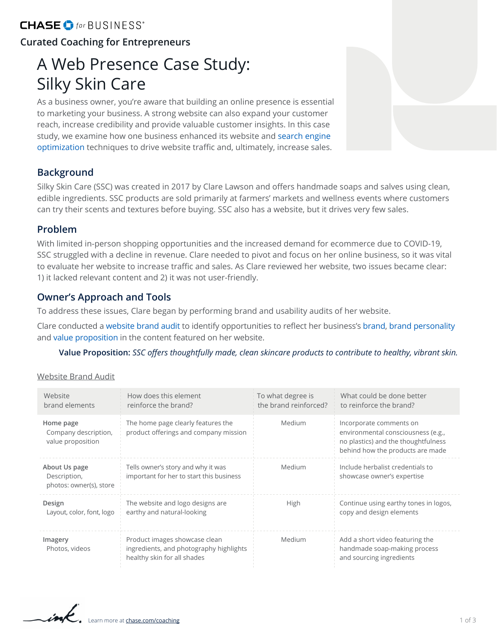# CHASE **O** for BUSINESS<sup>\*</sup>

# **Curated Coaching for Entrepreneurs**

# A Web Presence Case Study: Silky Skin Care

As a business owner, you're aware that building an online presence is essential to marketing your business. A strong website can also expand your customer reach, increase credibility and provide valuable customer insights. In this case study, we examine how one business enhanced its website and [search engine](#page-2-0)  [optimization](#page-2-0) techniques to drive website traffic and, ultimately, increase sales.

### **Background**

Silky Skin Care (SSC) was created in 2017 by Clare Lawson and offers handmade soaps and salves using clean, edible ingredients. SSC products are sold primarily at farmers' markets and wellness events where customers can try their scents and textures before buying. SSC also has a website, but it drives very few sales.

### **Problem**

With limited in-person shopping opportunities and the increased demand for ecommerce due to COVID-19, SSC struggled with a decline in revenue. Clare needed to pivot and focus on her online business, so it was vital to evaluate her website to increase traffic and sales. As Clare reviewed her website, two issues became clear: 1) it lacked relevant content and 2) it was not user-friendly.

### **Owner's Approach and Tools**

To address these issues, Clare began by performing brand and usability audits of her website.

Clare conducted a [website brand audit](#page-2-0) to identify opportunities to reflect her business's [brand](#page-2-0), [brand personality](#page-2-0) and [value proposition](#page-2-0) in the content featured on her website.

**Value Proposition:** *SSC offers thoughtfully made, clean skincare products to contribute to healthy, vibrant skin.*

#### Website Brand Audit

| Website<br>brand elements                                | How does this element<br>reinforce the brand?                                                           | To what degree is<br>the brand reinforced? | What could be done better<br>to reinforce the brand?                                                                                     |
|----------------------------------------------------------|---------------------------------------------------------------------------------------------------------|--------------------------------------------|------------------------------------------------------------------------------------------------------------------------------------------|
| Home page<br>Company description,<br>value proposition   | The home page clearly features the<br>product offerings and company mission                             | Medium                                     | Incorporate comments on<br>environmental consciousness (e.g.,<br>no plastics) and the thoughtfulness<br>behind how the products are made |
| About Us page<br>Description,<br>photos: owner(s), store | Tells owner's story and why it was<br>important for her to start this business                          | Medium                                     | Include herbalist credentials to<br>showcase owner's expertise                                                                           |
| Design<br>Layout, color, font, logo                      | The website and logo designs are<br>earthy and natural-looking                                          | High                                       | Continue using earthy tones in logos,<br>copy and design elements                                                                        |
| Imagery<br>Photos, videos                                | Product images showcase clean<br>ingredients, and photography highlights<br>healthy skin for all shades | Medium                                     | Add a short video featuring the<br>handmade soap-making process<br>and sourcing ingredients                                              |

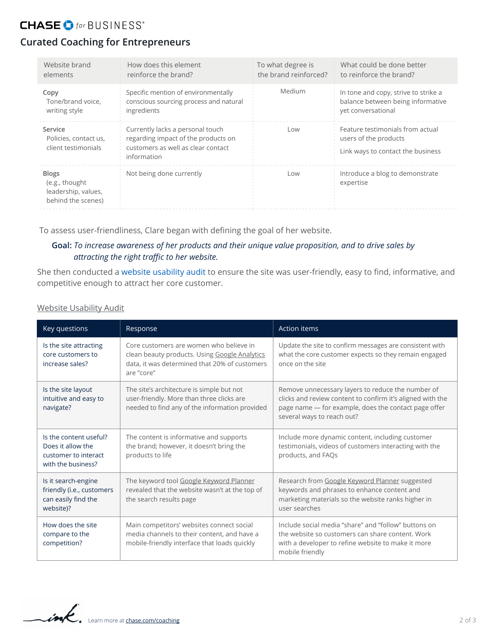# **CHASE O** for BUSINESS<sup>\*</sup>

# **Curated Coaching for Entrepreneurs**

| Website brand                                                               | How does this element                                                                                                        | To what degree is     | What could be done better                                                                      |
|-----------------------------------------------------------------------------|------------------------------------------------------------------------------------------------------------------------------|-----------------------|------------------------------------------------------------------------------------------------|
| elements                                                                    | reinforce the brand?                                                                                                         | the brand reinforced? | to reinforce the brand?                                                                        |
| Copy                                                                        | Specific mention of environmentally                                                                                          | Medium                | In tone and copy, strive to strike a                                                           |
| Tone/brand voice,                                                           | conscious sourcing process and natural                                                                                       |                       | balance between being informative                                                              |
| writing style                                                               | ingredients                                                                                                                  |                       | vet conversational                                                                             |
| Service<br>Policies, contact us,<br>client testimonials                     | Currently lacks a personal touch<br>regarding impact of the products on<br>customers as well as clear contact<br>information | Low                   | Feature testimonials from actual<br>users of the products<br>Link ways to contact the business |
| <b>Blogs</b><br>(e.g., thought<br>leadership, values,<br>behind the scenes) | Not being done currently                                                                                                     | Low                   | Introduce a blog to demonstrate<br>expertise                                                   |

To assess user-friendliness, Clare began with defining the goal of her website.

#### **Goal:** *To increase awareness of her products and their unique value proposition, and to drive sales by attracting the right traffic to her website.*

She then conducted a [website usability audit](#page-2-0) to ensure the site was user-friendly, easy to find, informative, and competitive enough to attract her core customer.

Website Usability Audit

| Key questions                                                                             | Response                                                                                                                                                | <b>Action items</b>                                                                                                                                                                                   |
|-------------------------------------------------------------------------------------------|---------------------------------------------------------------------------------------------------------------------------------------------------------|-------------------------------------------------------------------------------------------------------------------------------------------------------------------------------------------------------|
| Is the site attracting<br>core customers to<br>increase sales?                            | Core customers are women who believe in<br>clean beauty products. Using Google Analytics<br>data, it was determined that 20% of customers<br>are "core" | Update the site to confirm messages are consistent with<br>what the core customer expects so they remain engaged<br>once on the site                                                                  |
| Is the site layout<br>intuitive and easy to<br>navigate?                                  | The site's architecture is simple but not<br>user-friendly. More than three clicks are<br>needed to find any of the information provided                | Remove unnecessary layers to reduce the number of<br>clicks and review content to confirm it's aligned with the<br>page name - for example, does the contact page offer<br>several ways to reach out? |
| Is the content useful?<br>Does it allow the<br>customer to interact<br>with the business? | The content is informative and supports<br>the brand; however, it doesn't bring the<br>products to life                                                 | Include more dynamic content, including customer<br>testimonials, videos of customers interacting with the<br>products, and FAQs                                                                      |
| Is it search-engine<br>friendly (i.e., customers<br>can easily find the<br>website)?      | The keyword tool Google Keyword Planner<br>revealed that the website wasn't at the top of<br>the search results page                                    | Research from Google Keyword Planner suggested<br>keywords and phrases to enhance content and<br>marketing materials so the website ranks higher in<br>user searches                                  |
| How does the site<br>compare to the<br>competition?                                       | Main competitors' websites connect social<br>media channels to their content, and have a<br>mobile-friendly interface that loads quickly                | Include social media "share" and "follow" buttons on<br>the website so customers can share content. Work<br>with a developer to refine website to make it more<br>mobile friendly                     |